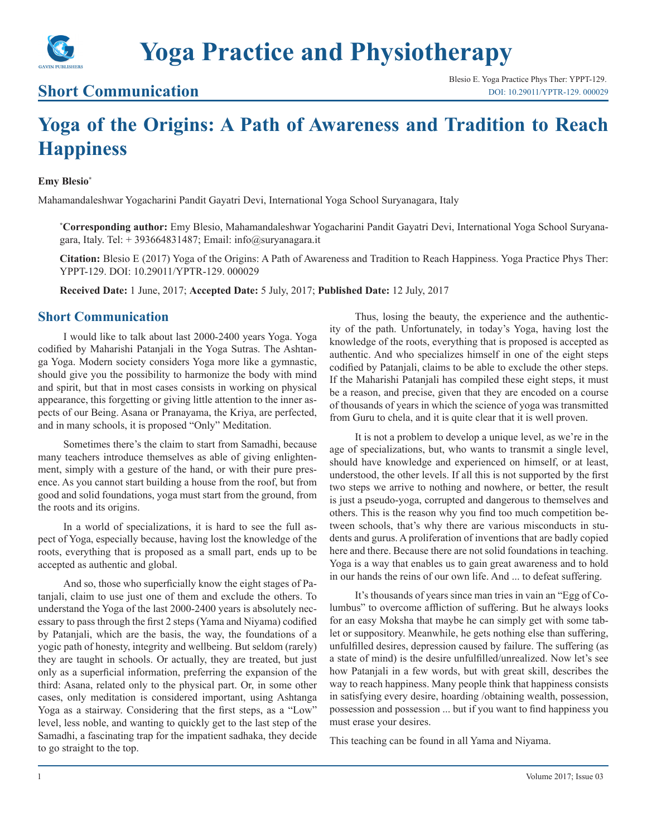

# **Short Communication**

# **Yoga of the Origins: A Path of Awareness and Tradition to Reach Happiness**

#### **Emy Blesio\***

Mahamandaleshwar Yogacharini Pandit Gayatri Devi, International Yoga School Suryanagara, Italy

**\* Corresponding author:** Emy Blesio, Mahamandaleshwar Yogacharini Pandit Gayatri Devi, International Yoga School Suryanagara, Italy. Tel:  $+ 393664831487$ ; Email: info@suryanagara.it

**Citation:** Blesio E (2017) Yoga of the Origins: A Path of Awareness and Tradition to Reach Happiness. Yoga Practice Phys Ther: YPPT-129. DOI: 10.29011/YPTR-129. 000029

**Received Date:** 1 June, 2017; **Accepted Date:** 5 July, 2017; **Published Date:** 12 July, 2017

## **Short Communication**

I would like to talk about last 2000-2400 years Yoga. Yoga codified by Maharishi Patanjali in the Yoga Sutras. The Ashtanga Yoga. Modern society considers Yoga more like a gymnastic, should give you the possibility to harmonize the body with mind and spirit, but that in most cases consists in working on physical appearance, this forgetting or giving little attention to the inner aspects of our Being. Asana or Pranayama, the Kriya, are perfected, and in many schools, it is proposed "Only" Meditation.

Sometimes there's the claim to start from Samadhi, because many teachers introduce themselves as able of giving enlightenment, simply with a gesture of the hand, or with their pure presence. As you cannot start building a house from the roof, but from good and solid foundations, yoga must start from the ground, from the roots and its origins.

In a world of specializations, it is hard to see the full aspect of Yoga, especially because, having lost the knowledge of the roots, everything that is proposed as a small part, ends up to be accepted as authentic and global.

And so, those who superficially know the eight stages of Patanjali, claim to use just one of them and exclude the others. To understand the Yoga of the last 2000-2400 years is absolutely necessary to pass through the first 2 steps (Yama and Niyama) codified by Patanjali, which are the basis, the way, the foundations of a yogic path of honesty, integrity and wellbeing. But seldom (rarely) they are taught in schools. Or actually, they are treated, but just only as a superficial information, preferring the expansion of the third: Asana, related only to the physical part. Or, in some other cases, only meditation is considered important, using Ashtanga Yoga as a stairway. Considering that the first steps, as a "Low" level, less noble, and wanting to quickly get to the last step of the Samadhi, a fascinating trap for the impatient sadhaka, they decide to go straight to the top.

Thus, losing the beauty, the experience and the authenticity of the path. Unfortunately, in today's Yoga, having lost the knowledge of the roots, everything that is proposed is accepted as authentic. And who specializes himself in one of the eight steps codified by Patanjali, claims to be able to exclude the other steps. If the Maharishi Patanjali has compiled these eight steps, it must be a reason, and precise, given that they are encoded on a course of thousands of years in which the science of yoga was transmitted from Guru to chela, and it is quite clear that it is well proven.

It is not a problem to develop a unique level, as we're in the age of specializations, but, who wants to transmit a single level, should have knowledge and experienced on himself, or at least, understood, the other levels. If all this is not supported by the first two steps we arrive to nothing and nowhere, or better, the result is just a pseudo-yoga, corrupted and dangerous to themselves and others. This is the reason why you find too much competition between schools, that's why there are various misconducts in students and gurus. A proliferation of inventions that are badly copied here and there. Because there are not solid foundations in teaching. Yoga is a way that enables us to gain great awareness and to hold in our hands the reins of our own life. And ... to defeat suffering.

It's thousands of years since man tries in vain an "Egg of Columbus" to overcome affliction of suffering. But he always looks for an easy Moksha that maybe he can simply get with some tablet or suppository. Meanwhile, he gets nothing else than suffering, unfulfilled desires, depression caused by failure. The suffering (as a state of mind) is the desire unfulfilled/unrealized. Now let's see how Patanjali in a few words, but with great skill, describes the way to reach happiness. Many people think that happiness consists in satisfying every desire, hoarding /obtaining wealth, possession, possession and possession ... but if you want to find happiness you must erase your desires.

This teaching can be found in all Yama and Niyama.